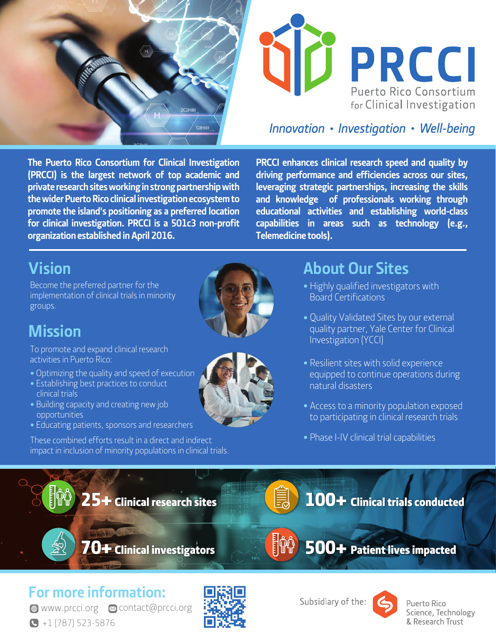



### Innovation • Investigation • Well-being

**The Puerto Rico Consortium for Clinical Investigation (PRCCI) is the largest network of top academic and private research sites working in strong partnership with the wider Puerto Rico clinical investigation ecosystem to promote the island's positioning as a preferred location for clinical investigation. PRCCI is a 501c3 non-profit organization established in April 2016.**

**PRCCI enhances clinical research speed and quality by driving performance and efficiencies across our sites, leveraging strategic partnerships, increasing the skills and knowledge of professionals working through educational activities and establishing world-class capabilities in areas such as technology (e.g., Telemedicine tools).**

# **Vision**

Become the preferred partner for the implementation of clinical trials in minority groups.

# **Mission**

 $\frac{\partial^2 y}{\partial x^2}$ 

To promote and expand clinical research activities in Puerto Rico:

- **•** Optimizing the quality and speed of execution
- **•** Establishing best practices to conduct clinical trials
- **•** Building capacity and creating new job opportunities
- **•** Educating patients, sponsors and researchers

These combined efforts result in a direct and indirect impact in inclusion of minority populations in clinical trials.





### **About Our Sites**

- **•** Highly qualified investigators with Board Certifications
- **•** Quality Validated Sites by our external quality partner, Yale Center for Clinical Investigation (YCCI)
- **•** Resilient sites with solid experience equipped to continue operations during natural disasters
- **•** Access to a minority population exposed to participating in clinical research trials
- **•** Phase I-IV clinical trial capabilities

100+ Clinical trials conducted

70+ Clinical investigators

25+ Clinical research sites



**For more information:** 

 $\bigodot$  +1 (787) 523-5876 **● www.prcci.org 2 contact@prcci.org** 



Subsidiary of the:



Puerto Rico Science, Technology & Research Trust